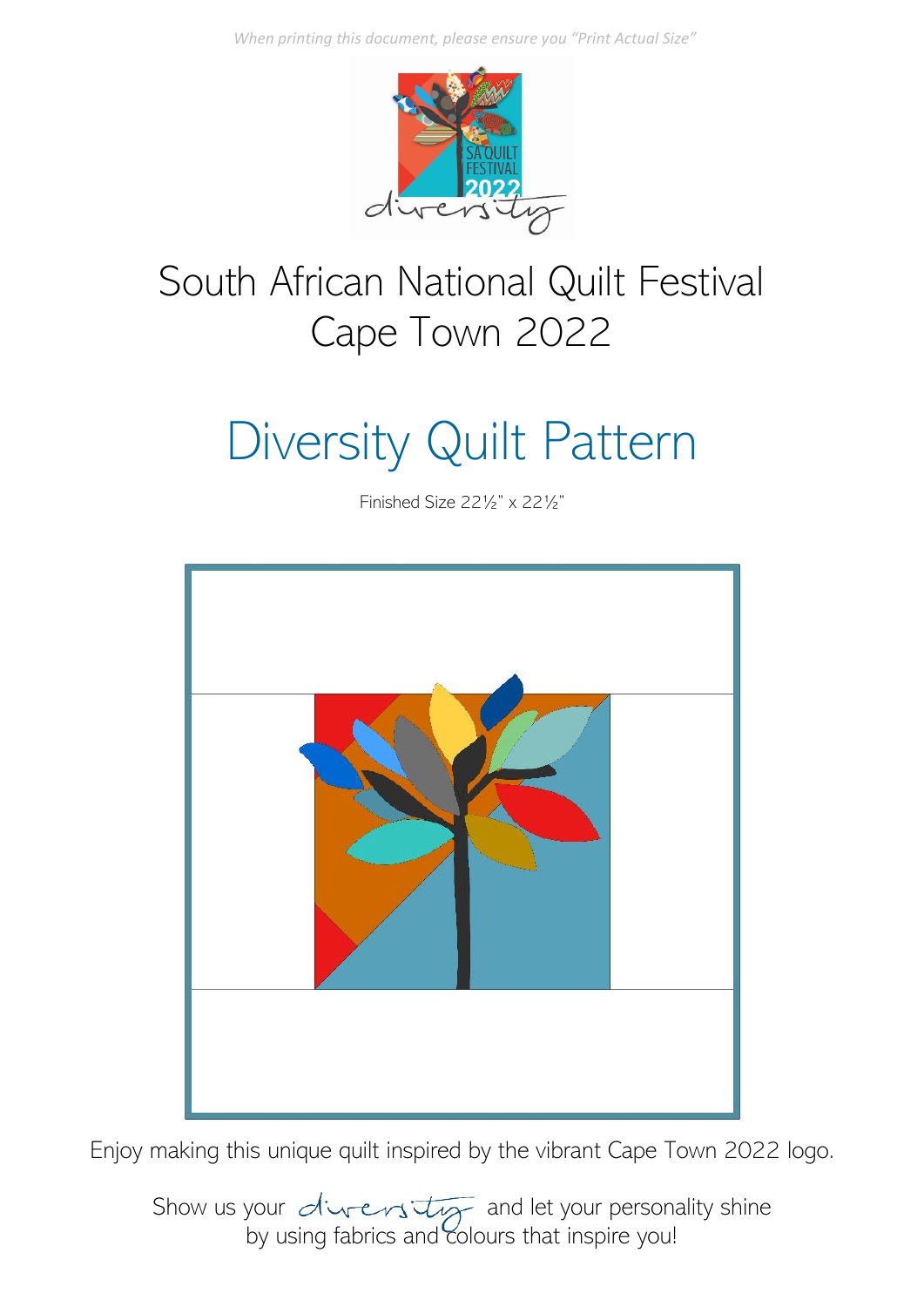*When printing this document, please ensure you "Print Actual Size"*



## South African National Quilt Festival Cape Town 2022

# Diversity Quilt Pattern

Finished Size 22½" x 22½"



Enjoy making this unique quilt inspired by the vibrant Cape Town 2022 logo.

Show us your  $\overline{div}$  and let your personality shine by using fabrics and colours that inspire you!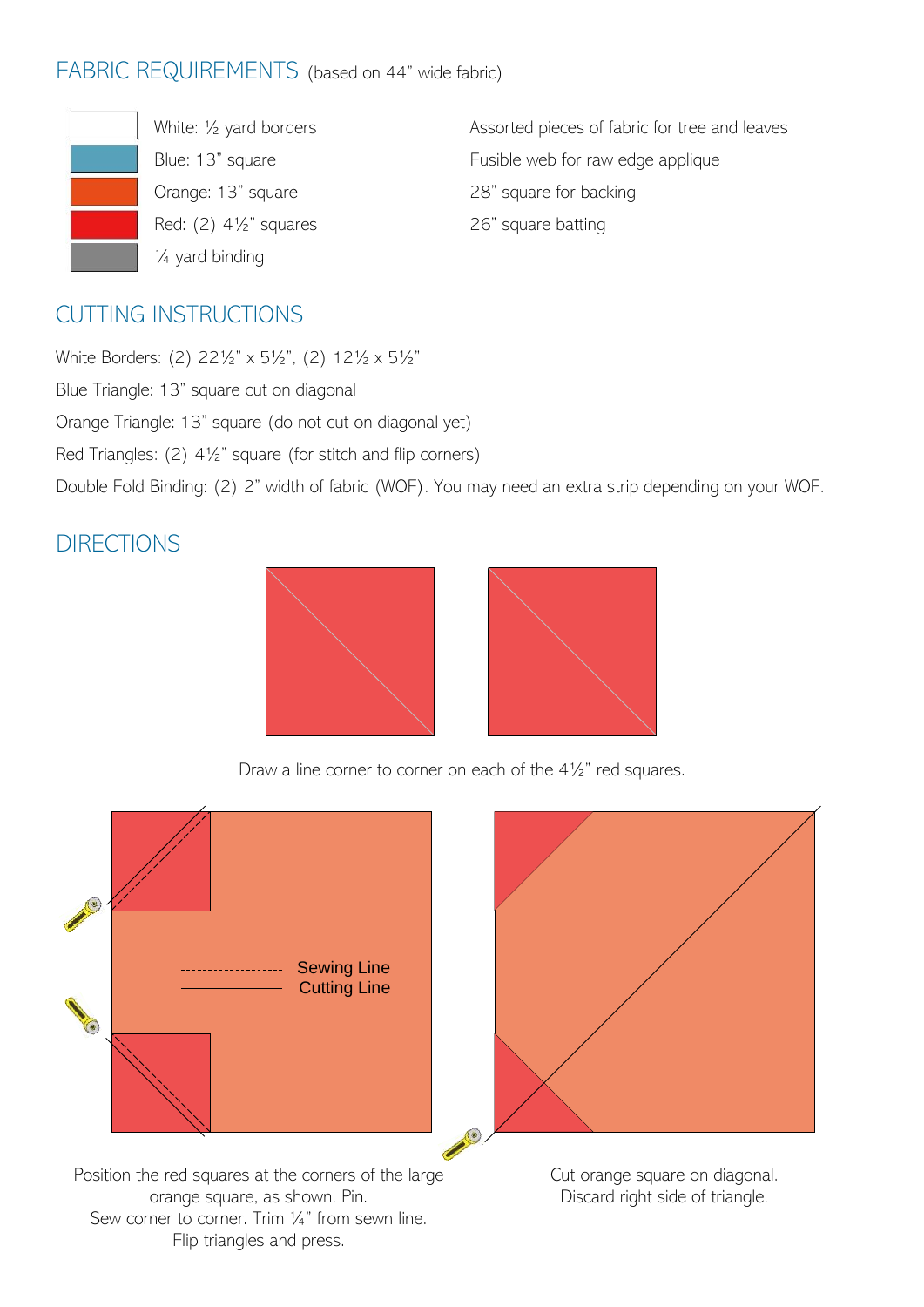#### FABRIC REQUIREMENTS (based on 44" wide fabric)



White: ½ yard borders Blue: 13" square Orange: 13" square Red:  $(2)$  4 $\frac{1}{2}$ " squares ¼ yard binding

Assorted pieces of fabric for tree and leaves Fusible web for raw edge applique 28" square for backing 26" square batting

### CUTTING INSTRUCTIONS

White Borders: (2) 22½" x 5½", (2) 12½ x 5½" Blue Triangle: 13" square cut on diagonal Orange Triangle: 13" square (do not cut on diagonal yet) Red Triangles: (2) 4½" square (for stitch and flip corners) Double Fold Binding: (2) 2" width of fabric (WOF). You may need an extra strip depending on your WOF.

#### **DIRECTIONS**



Draw a line corner to corner on each of the 4½" red squares.



Position the red squares at the corners of the large orange square, as shown. Pin. Sew corner to corner. Trim 1/4" from sewn line. Flip triangles and press.

Cut orange square on diagonal. Discard right side of triangle.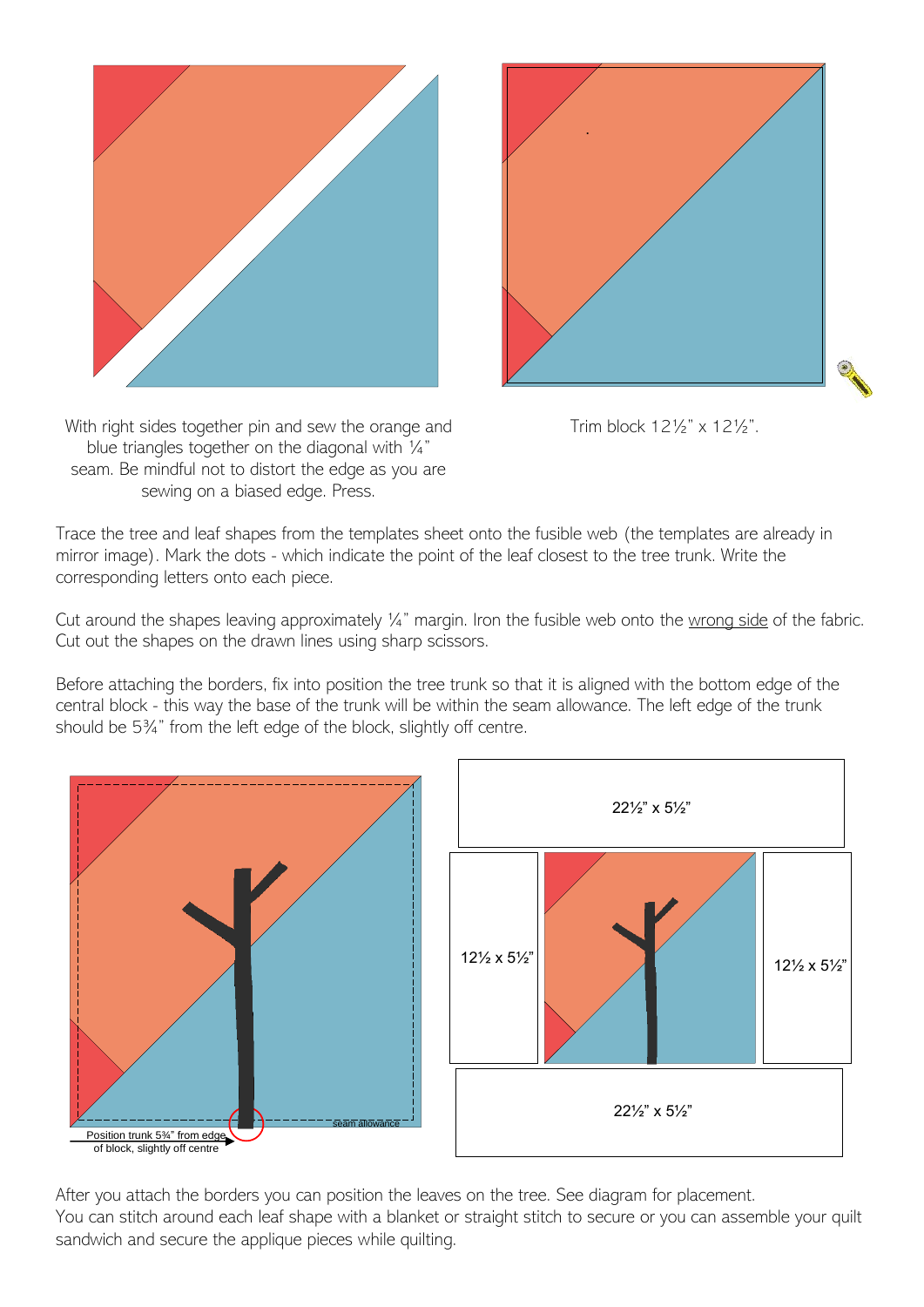



Trim block 12½" x 12½".

With right sides together pin and sew the orange and blue triangles together on the diagonal with ¼" seam. Be mindful not to distort the edge as you are sewing on a biased edge. Press.

Trace the tree and leaf shapes from the templates sheet onto the fusible web (the templates are already in mirror image). Mark the dots - which indicate the point of the leaf closest to the tree trunk. Write the corresponding letters onto each piece.

Cut around the shapes leaving approximately 1/4" margin. Iron the fusible web onto the wrong side of the fabric. Cut out the shapes on the drawn lines using sharp scissors.

Before attaching the borders, fix into position the tree trunk so that it is aligned with the bottom edge of the central block - this way the base of the trunk will be within the seam allowance. The left edge of the trunk should be 5¾" from the left edge of the block, slightly off centre.





After you attach the borders you can position the leaves on the tree. See diagram for placement. You can stitch around each leaf shape with a blanket or straight stitch to secure or you can assemble your quilt sandwich and secure the applique pieces while quilting.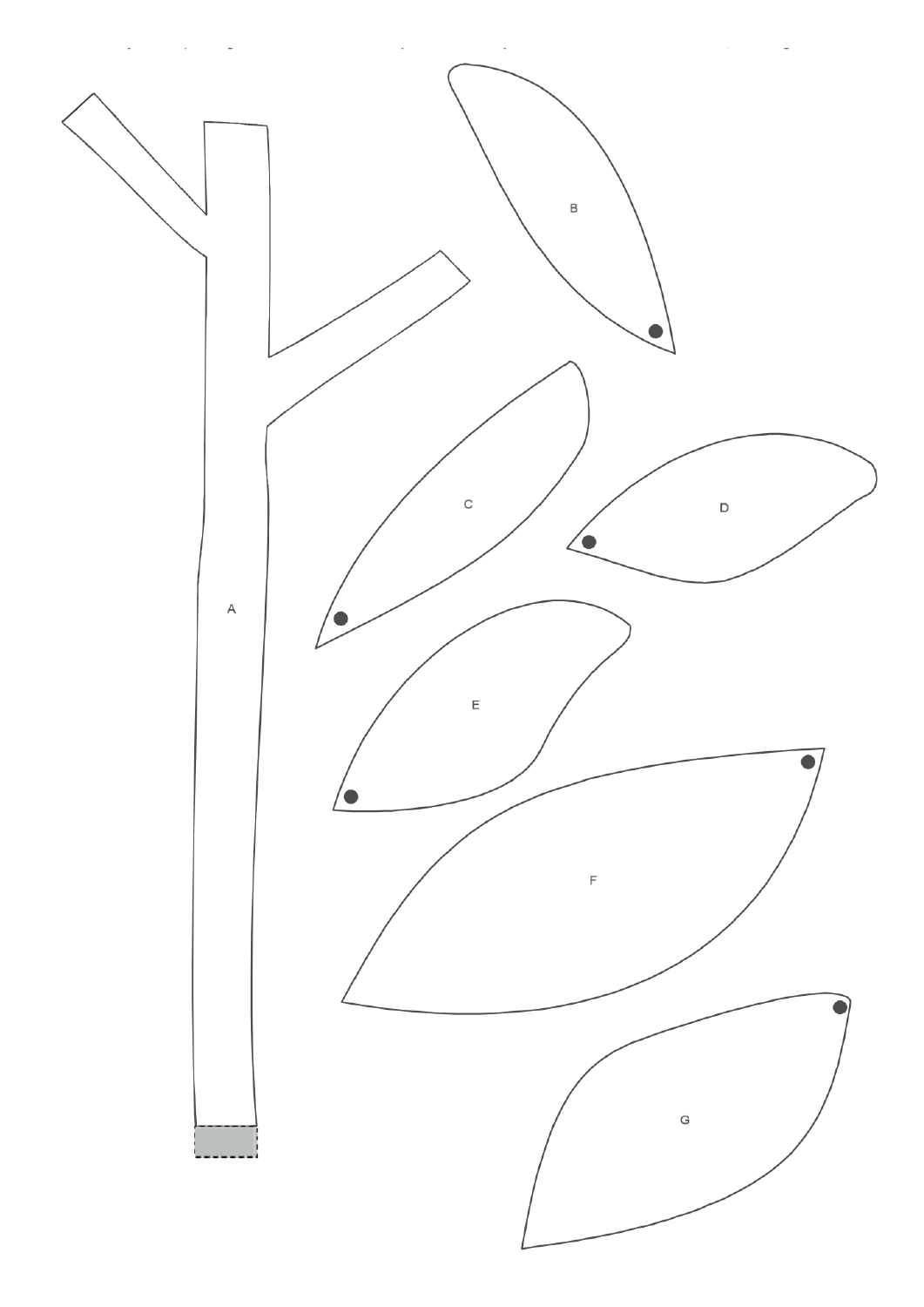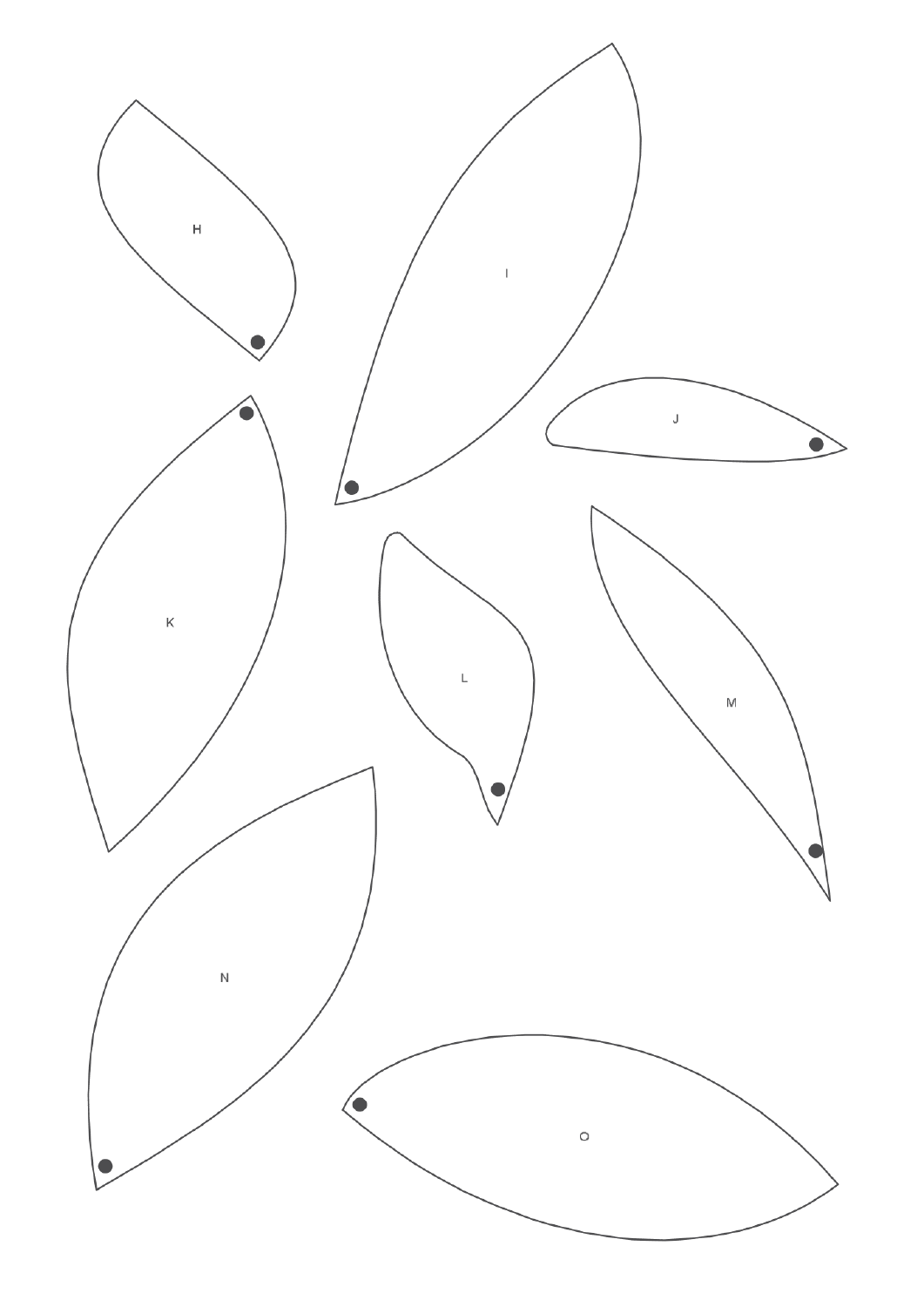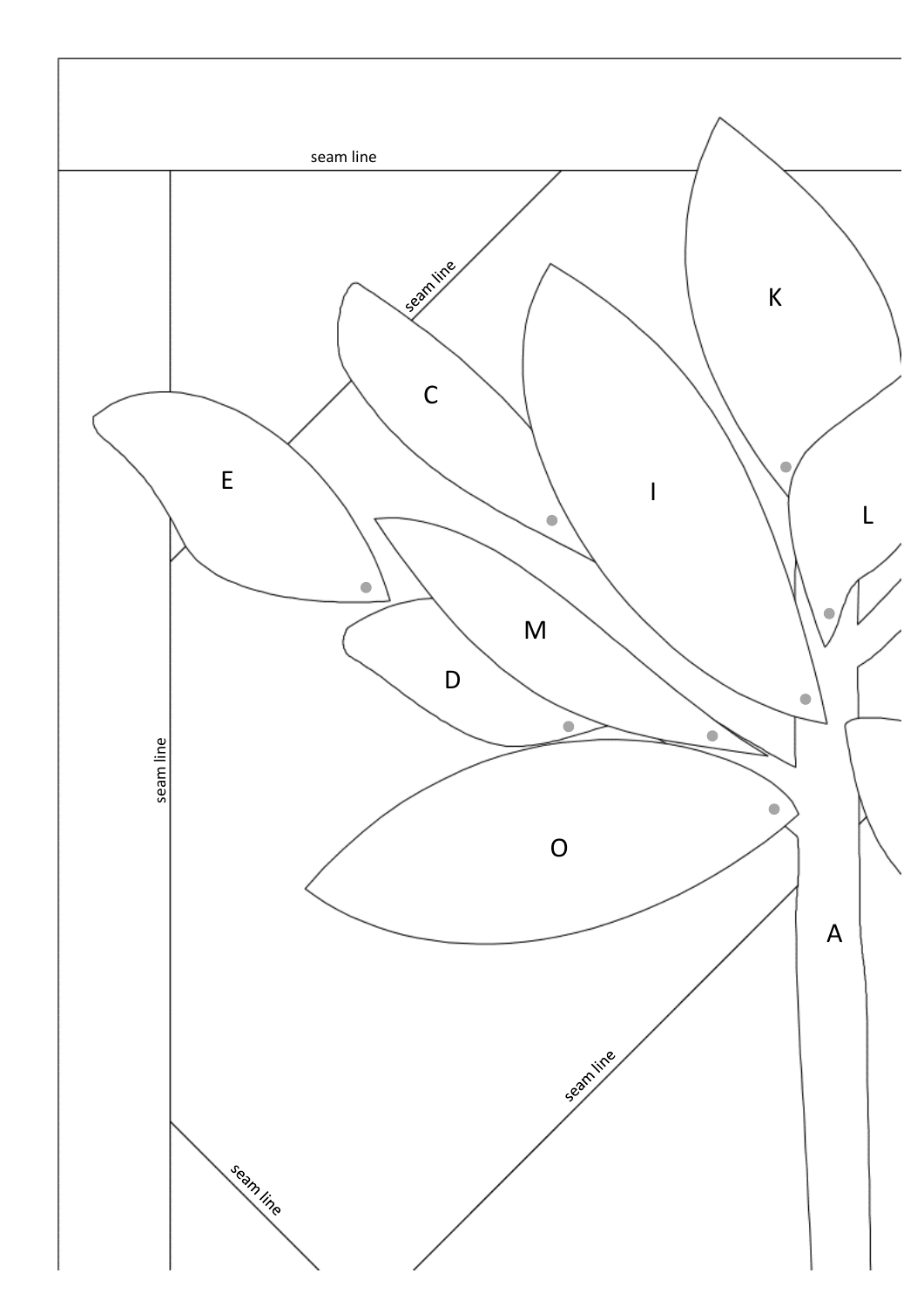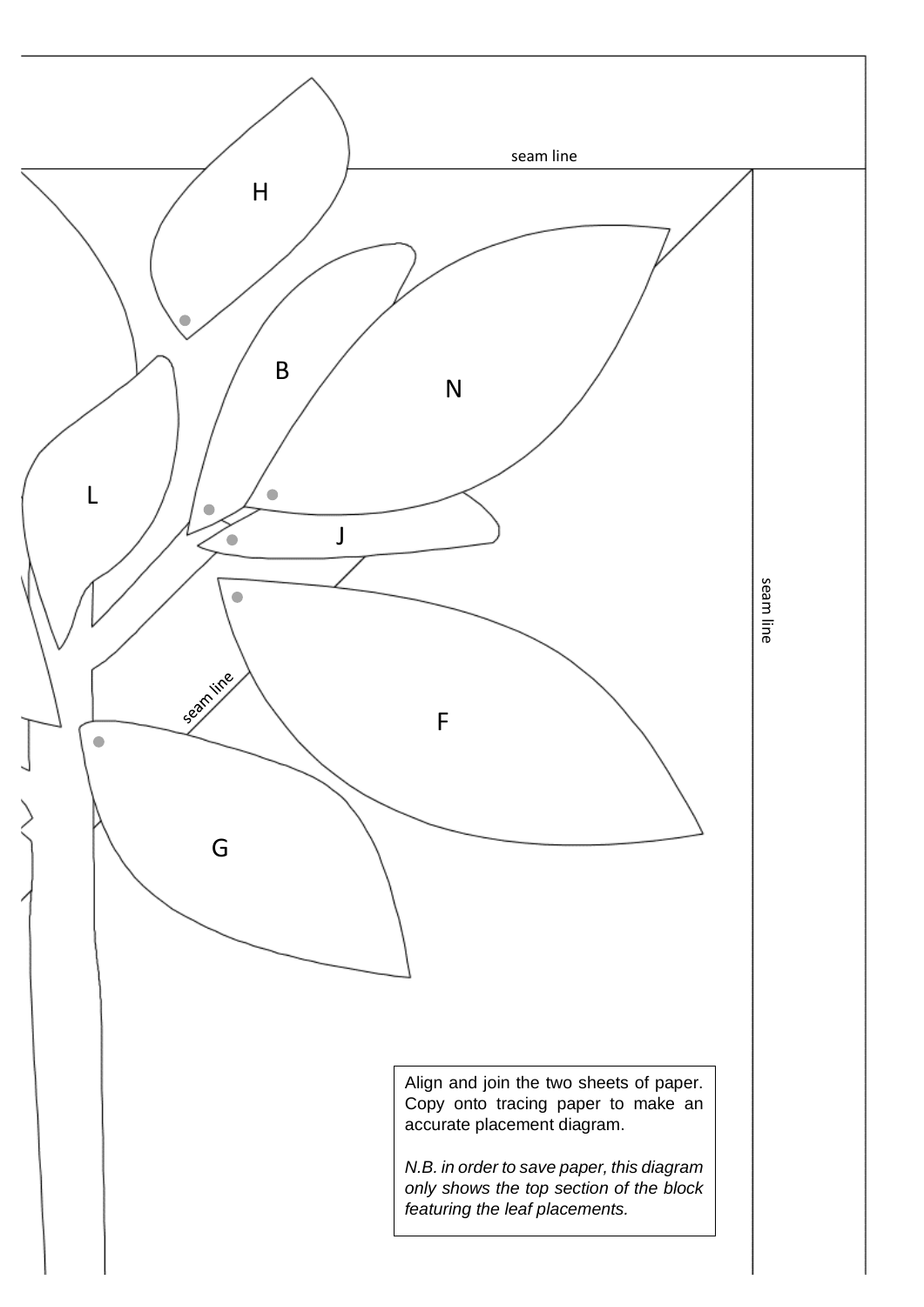